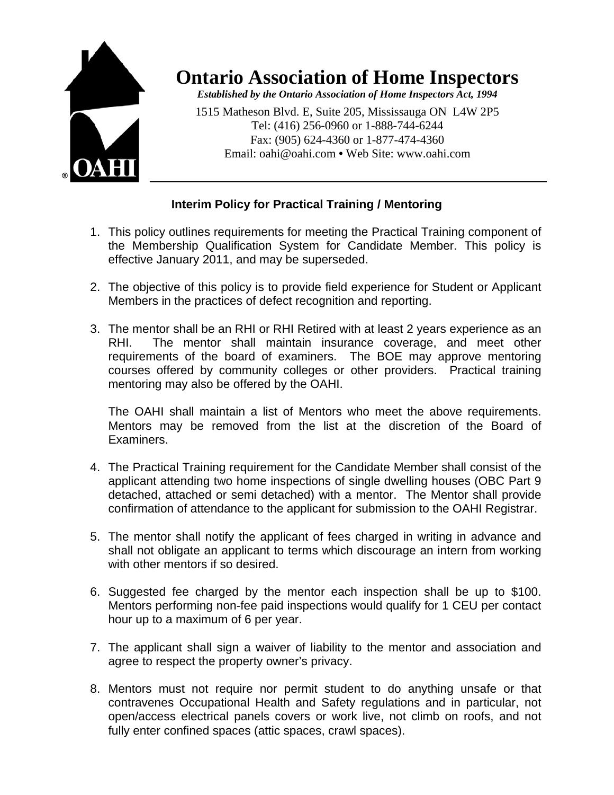

## **Ontario Association of Home Inspectors**

*Established by the Ontario Association of Home Inspectors Act, 1994* 

1515 Matheson Blvd. E, Suite 205, Mississauga ON L4W 2P5 Tel: (416) 256-0960 or 1-888-744-6244 Fax: (905) 624-4360 or 1-877-474-4360 Email: oahi@oahi.com **•** Web Site: www.oahi.com

## **Interim Policy for Practical Training / Mentoring**

- 1. This policy outlines requirements for meeting the Practical Training component of the Membership Qualification System for Candidate Member. This policy is effective January 2011, and may be superseded.
- 2. The objective of this policy is to provide field experience for Student or Applicant Members in the practices of defect recognition and reporting.
- 3. The mentor shall be an RHI or RHI Retired with at least 2 years experience as an RHI. The mentor shall maintain insurance coverage, and meet other requirements of the board of examiners. The BOE may approve mentoring courses offered by community colleges or other providers. Practical training mentoring may also be offered by the OAHI.

The OAHI shall maintain a list of Mentors who meet the above requirements. Mentors may be removed from the list at the discretion of the Board of Examiners.

- 4. The Practical Training requirement for the Candidate Member shall consist of the applicant attending two home inspections of single dwelling houses (OBC Part 9 detached, attached or semi detached) with a mentor. The Mentor shall provide confirmation of attendance to the applicant for submission to the OAHI Registrar.
- 5. The mentor shall notify the applicant of fees charged in writing in advance and shall not obligate an applicant to terms which discourage an intern from working with other mentors if so desired.
- 6. Suggested fee charged by the mentor each inspection shall be up to \$100. Mentors performing non-fee paid inspections would qualify for 1 CEU per contact hour up to a maximum of 6 per year.
- 7. The applicant shall sign a waiver of liability to the mentor and association and agree to respect the property owner's privacy.
- 8. Mentors must not require nor permit student to do anything unsafe or that contravenes Occupational Health and Safety regulations and in particular, not open/access electrical panels covers or work live, not climb on roofs, and not fully enter confined spaces (attic spaces, crawl spaces).